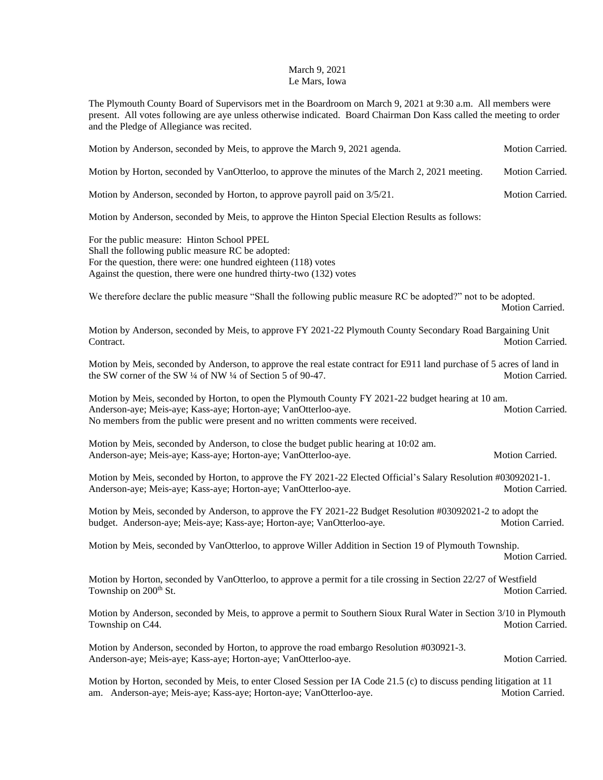## March 9, 2021 Le Mars, Iowa

The Plymouth County Board of Supervisors met in the Boardroom on March 9, 2021 at 9:30 a.m. All members were present. All votes following are aye unless otherwise indicated. Board Chairman Don Kass called the meeting to order and the Pledge of Allegiance was recited.

| Motion by Anderson, seconded by Meis, to approve the March 9, 2021 agenda.                                                                                                                                                                              | Motion Carried. |
|---------------------------------------------------------------------------------------------------------------------------------------------------------------------------------------------------------------------------------------------------------|-----------------|
| Motion by Horton, seconded by VanOtterloo, to approve the minutes of the March 2, 2021 meeting.                                                                                                                                                         | Motion Carried. |
| Motion by Anderson, seconded by Horton, to approve payroll paid on 3/5/21.                                                                                                                                                                              | Motion Carried. |
| Motion by Anderson, seconded by Meis, to approve the Hinton Special Election Results as follows:                                                                                                                                                        |                 |
| For the public measure: Hinton School PPEL<br>Shall the following public measure RC be adopted:<br>For the question, there were: one hundred eighteen (118) votes<br>Against the question, there were one hundred thirty-two (132) votes                |                 |
| We therefore declare the public measure "Shall the following public measure RC be adopted?" not to be adopted.                                                                                                                                          | Motion Carried. |
| Motion by Anderson, seconded by Meis, to approve FY 2021-22 Plymouth County Secondary Road Bargaining Unit<br>Contract.                                                                                                                                 | Motion Carried. |
| Motion by Meis, seconded by Anderson, to approve the real estate contract for E911 land purchase of 5 acres of land in<br>the SW corner of the SW 1/4 of NW 1/4 of Section 5 of 90-47.                                                                  | Motion Carried. |
| Motion by Meis, seconded by Horton, to open the Plymouth County FY 2021-22 budget hearing at 10 am.<br>Anderson-aye; Meis-aye; Kass-aye; Horton-aye; VanOtterloo-aye.<br>No members from the public were present and no written comments were received. | Motion Carried. |
| Motion by Meis, seconded by Anderson, to close the budget public hearing at 10:02 am.<br>Anderson-aye; Meis-aye; Kass-aye; Horton-aye; VanOtterloo-aye.                                                                                                 | Motion Carried. |
| Motion by Meis, seconded by Horton, to approve the FY 2021-22 Elected Official's Salary Resolution #03092021-1.<br>Anderson-aye; Meis-aye; Kass-aye; Horton-aye; VanOtterloo-aye.                                                                       | Motion Carried. |
| Motion by Meis, seconded by Anderson, to approve the FY 2021-22 Budget Resolution #03092021-2 to adopt the<br>budget. Anderson-aye; Meis-aye; Kass-aye; Horton-aye; VanOtterloo-aye.                                                                    | Motion Carried. |
| Motion by Meis, seconded by VanOtterloo, to approve Willer Addition in Section 19 of Plymouth Township.                                                                                                                                                 | Motion Carried. |
| Motion by Horton, seconded by VanOtterloo, to approve a permit for a tile crossing in Section 22/27 of Westfield<br>Township on 200 <sup>th</sup> St.                                                                                                   | Motion Carried. |
| Motion by Anderson, seconded by Meis, to approve a permit to Southern Sioux Rural Water in Section 3/10 in Plymouth<br>Township on C44.                                                                                                                 | Motion Carried. |
| Motion by Anderson, seconded by Horton, to approve the road embargo Resolution #030921-3.<br>Anderson-aye; Meis-aye; Kass-aye; Horton-aye; VanOtterloo-aye.                                                                                             | Motion Carried. |
| Motion by Horton, seconded by Meis, to enter Closed Session per IA Code 21.5 (c) to discuss pending litigation at 11<br>am. Anderson-aye; Meis-aye; Kass-aye; Horton-aye; VanOtterloo-aye.                                                              | Motion Carried. |